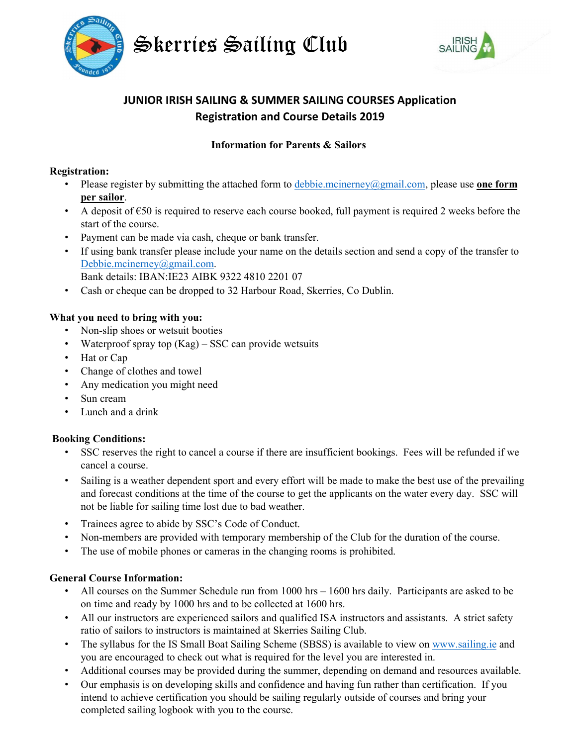



# JUNIOR IRISH SAILING & SUMMER SAILING COURSES Application Registration and Course Details 2019

# Information for Parents & Sailors

#### Registration:

- Please register by submitting the attached form to  $debbe.mcinerney@gmail.com$ , please use **one form**</u> per sailor.
- A deposit of  $\epsilon$ 50 is required to reserve each course booked, full payment is required 2 weeks before the start of the course.
- Payment can be made via cash, cheque or bank transfer.
- If using bank transfer please include your name on the details section and send a copy of the transfer to Debbie.mcinerney@gmail.com. Bank details: IBAN:IE23 AIBK 9322 4810 2201 07
- Cash or cheque can be dropped to 32 Harbour Road, Skerries, Co Dublin.

### What you need to bring with you:

- Non-slip shoes or wetsuit booties
- Waterproof spray top (Kag) SSC can provide wetsuits
- Hat or Cap
- Change of clothes and towel
- Any medication you might need
- Sun cream
- Lunch and a drink

#### Booking Conditions:

- SSC reserves the right to cancel a course if there are insufficient bookings. Fees will be refunded if we cancel a course.
- Sailing is a weather dependent sport and every effort will be made to make the best use of the prevailing and forecast conditions at the time of the course to get the applicants on the water every day. SSC will not be liable for sailing time lost due to bad weather.
- Trainees agree to abide by SSC's Code of Conduct.
- Non-members are provided with temporary membership of the Club for the duration of the course.
- The use of mobile phones or cameras in the changing rooms is prohibited.

# General Course Information:

- All courses on the Summer Schedule run from 1000 hrs 1600 hrs daily. Participants are asked to be on time and ready by 1000 hrs and to be collected at 1600 hrs.
- All our instructors are experienced sailors and qualified ISA instructors and assistants. A strict safety ratio of sailors to instructors is maintained at Skerries Sailing Club.
- The syllabus for the IS Small Boat Sailing Scheme (SBSS) is available to view on www.sailing.ie and you are encouraged to check out what is required for the level you are interested in.
- Additional courses may be provided during the summer, depending on demand and resources available.
- Our emphasis is on developing skills and confidence and having fun rather than certification. If you intend to achieve certification you should be sailing regularly outside of courses and bring your completed sailing logbook with you to the course.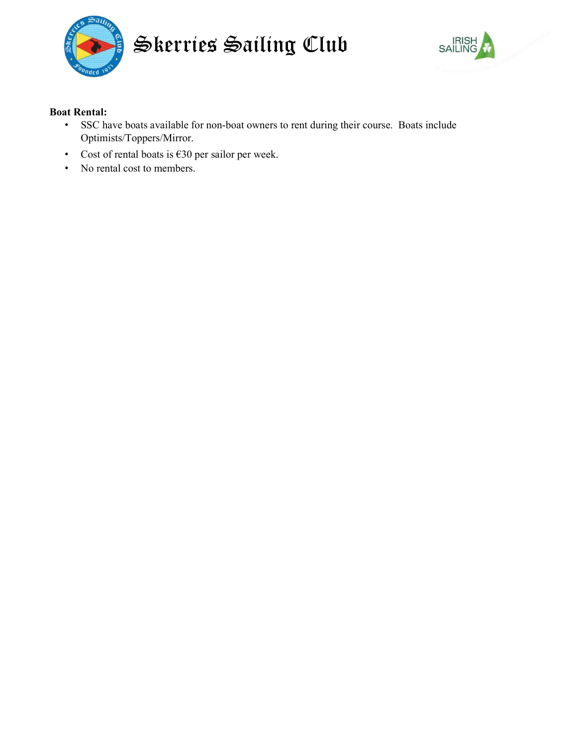



## Boat Rental:

- SSC have boats available for non-boat owners to rent during their course. Boats include Optimists/Toppers/Mirror.
- Cost of rental boats is  $\epsilon$ 30 per sailor per week.
- No rental cost to members.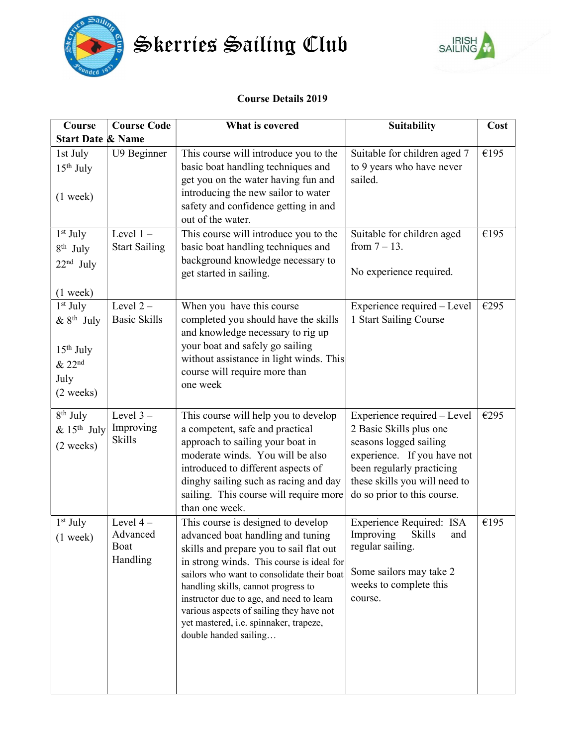

Skerries Sailing Club



# Course Details 2019

| Course                                                                     | <b>Course Code</b>                         | What is covered                                                                                                                                                                                                                                                                                                                                                                                                 | <b>Suitability</b>                                                                                                                                                                                           | Cost |
|----------------------------------------------------------------------------|--------------------------------------------|-----------------------------------------------------------------------------------------------------------------------------------------------------------------------------------------------------------------------------------------------------------------------------------------------------------------------------------------------------------------------------------------------------------------|--------------------------------------------------------------------------------------------------------------------------------------------------------------------------------------------------------------|------|
| <b>Start Date &amp; Name</b>                                               |                                            |                                                                                                                                                                                                                                                                                                                                                                                                                 |                                                                                                                                                                                                              |      |
| 1st July<br>$15th$ July<br>$(1$ week)                                      | U9 Beginner                                | This course will introduce you to the<br>basic boat handling techniques and<br>get you on the water having fun and<br>introducing the new sailor to water<br>safety and confidence getting in and<br>out of the water.                                                                                                                                                                                          | Suitable for children aged 7<br>to 9 years who have never<br>sailed.                                                                                                                                         | €195 |
| $1st$ July<br>$8th$ July<br>$22nd$ July<br>$(1$ week)                      | Level $1-$<br><b>Start Sailing</b>         | This course will introduce you to the<br>basic boat handling techniques and<br>background knowledge necessary to<br>get started in sailing.                                                                                                                                                                                                                                                                     | Suitable for children aged<br>from $7 - 13$ .<br>No experience required.                                                                                                                                     | €195 |
| $1st$ July<br>$&8^{th}$ July<br>$15th$ July<br>& 22nd<br>July<br>(2 weeks) | Level $2-$<br><b>Basic Skills</b>          | When you have this course<br>completed you should have the skills<br>and knowledge necessary to rig up<br>your boat and safely go sailing<br>without assistance in light winds. This<br>course will require more than<br>one week                                                                                                                                                                               | Experience required - Level<br>1 Start Sailing Course                                                                                                                                                        | €295 |
| 8 <sup>th</sup> July<br>$& 15th$ July<br>$(2 \text{ weeks})$               | Level $3-$<br>Improving<br><b>Skills</b>   | This course will help you to develop<br>a competent, safe and practical<br>approach to sailing your boat in<br>moderate winds. You will be also<br>introduced to different aspects of<br>dinghy sailing such as racing and day<br>sailing. This course will require more<br>than one week.                                                                                                                      | Experience required – Level<br>2 Basic Skills plus one<br>seasons logged sailing<br>experience. If you have not<br>been regularly practicing<br>these skills you will need to<br>do so prior to this course. | €295 |
| 1 <sup>st</sup> July<br>$(1$ week)                                         | Level $4-$<br>Advanced<br>Boat<br>Handling | This course is designed to develop<br>advanced boat handling and tuning<br>skills and prepare you to sail flat out<br>in strong winds. This course is ideal for<br>sailors who want to consolidate their boat<br>handling skills, cannot progress to<br>instructor due to age, and need to learn<br>various aspects of sailing they have not<br>yet mastered, i.e. spinnaker, trapeze,<br>double handed sailing | <b>Experience Required: ISA</b><br>Skills<br>Improving<br>and<br>regular sailing.<br>Some sailors may take 2<br>weeks to complete this<br>course.                                                            | €195 |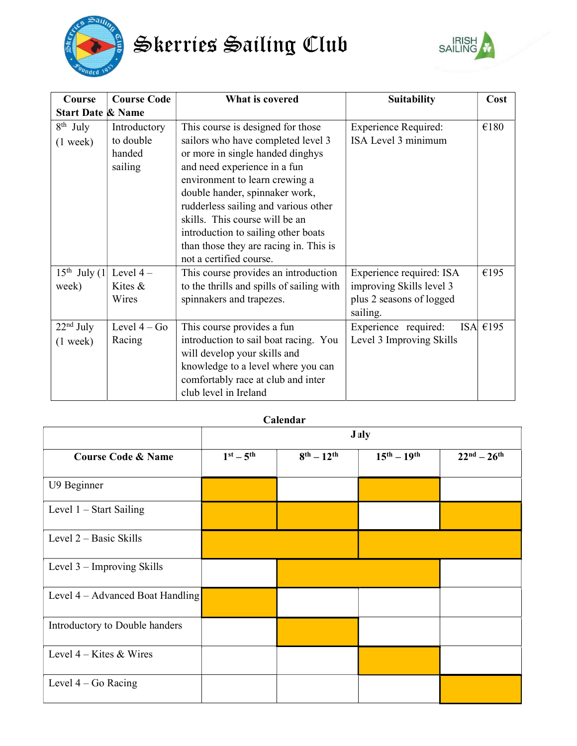

Skerries Sailing Club



| Course                       | <b>Course Code</b> | What is covered                           | <b>Suitability</b>          | Cost       |
|------------------------------|--------------------|-------------------------------------------|-----------------------------|------------|
| <b>Start Date &amp; Name</b> |                    |                                           |                             |            |
| $8th$ July                   | Introductory       | This course is designed for those         | <b>Experience Required:</b> | €180       |
| $(1 \text{ week})$           | to double          | sailors who have completed level 3        | ISA Level 3 minimum         |            |
|                              | handed             | or more in single handed dinghys          |                             |            |
|                              | sailing            | and need experience in a fun              |                             |            |
|                              |                    | environment to learn crewing a            |                             |            |
|                              |                    | double hander, spinnaker work,            |                             |            |
|                              |                    | rudderless sailing and various other      |                             |            |
|                              |                    | skills. This course will be an            |                             |            |
|                              |                    | introduction to sailing other boats       |                             |            |
|                              |                    | than those they are racing in. This is    |                             |            |
|                              |                    | not a certified course.                   |                             |            |
| $15th$ July (1)              | Level $4-$         | This course provides an introduction      | Experience required: ISA    | €195       |
| week)                        | Kites $\&$         | to the thrills and spills of sailing with | improving Skills level 3    |            |
|                              | Wires              | spinnakers and trapezes.                  | plus 2 seasons of logged    |            |
|                              |                    |                                           | sailing.                    |            |
| $22nd$ July                  | Level $4 - Go$     | This course provides a fun                | Experience required:        | ISA $€195$ |
| $(1 \text{ week})$           | Racing             | introduction to sail boat racing. You     | Level 3 Improving Skills    |            |
|                              |                    | will develop your skills and              |                             |            |
|                              |                    | knowledge to a level where you can        |                             |            |
|                              |                    | comfortably race at club and inter        |                             |            |
|                              |                    | club level in Ireland                     |                             |            |

| Calendar                           |             |                    |                     |                     |  |
|------------------------------------|-------------|--------------------|---------------------|---------------------|--|
|                                    | <b>July</b> |                    |                     |                     |  |
| <b>Course Code &amp; Name</b>      | $1st - 5th$ | $8^{th} - 12^{th}$ | $15^{th} - 19^{th}$ | $22^{nd} - 26^{th}$ |  |
| U9 Beginner                        |             |                    |                     |                     |  |
| Level $1 - Start$ Sailing          |             |                    |                     |                     |  |
| Level $2 - Basic Skills$           |             |                    |                     |                     |  |
| Level $3$ – Improving Skills       |             |                    |                     |                     |  |
| Level $4 -$ Advanced Boat Handling |             |                    |                     |                     |  |
| Introductory to Double handers     |             |                    |                     |                     |  |
| Level $4 -$ Kites & Wires          |             |                    |                     |                     |  |
| Level $4 - Go$ Racing              |             |                    |                     |                     |  |